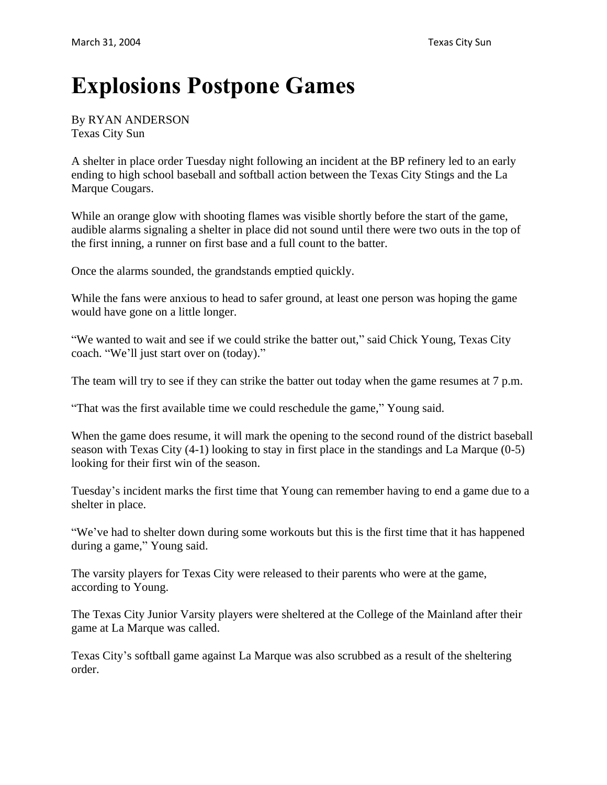## **Explosions Postpone Games**

## By RYAN ANDERSON Texas City Sun

A shelter in place order Tuesday night following an incident at the BP refinery led to an early ending to high school baseball and softball action between the Texas City Stings and the La Marque Cougars.

While an orange glow with shooting flames was visible shortly before the start of the game, audible alarms signaling a shelter in place did not sound until there were two outs in the top of the first inning, a runner on first base and a full count to the batter.

Once the alarms sounded, the grandstands emptied quickly.

While the fans were anxious to head to safer ground, at least one person was hoping the game would have gone on a little longer.

"We wanted to wait and see if we could strike the batter out," said Chick Young, Texas City coach. "We'll just start over on (today)."

The team will try to see if they can strike the batter out today when the game resumes at 7 p.m.

"That was the first available time we could reschedule the game," Young said.

When the game does resume, it will mark the opening to the second round of the district baseball season with Texas City (4-1) looking to stay in first place in the standings and La Marque (0-5) looking for their first win of the season.

Tuesday's incident marks the first time that Young can remember having to end a game due to a shelter in place.

"We've had to shelter down during some workouts but this is the first time that it has happened during a game," Young said.

The varsity players for Texas City were released to their parents who were at the game, according to Young.

The Texas City Junior Varsity players were sheltered at the College of the Mainland after their game at La Marque was called.

Texas City's softball game against La Marque was also scrubbed as a result of the sheltering order.